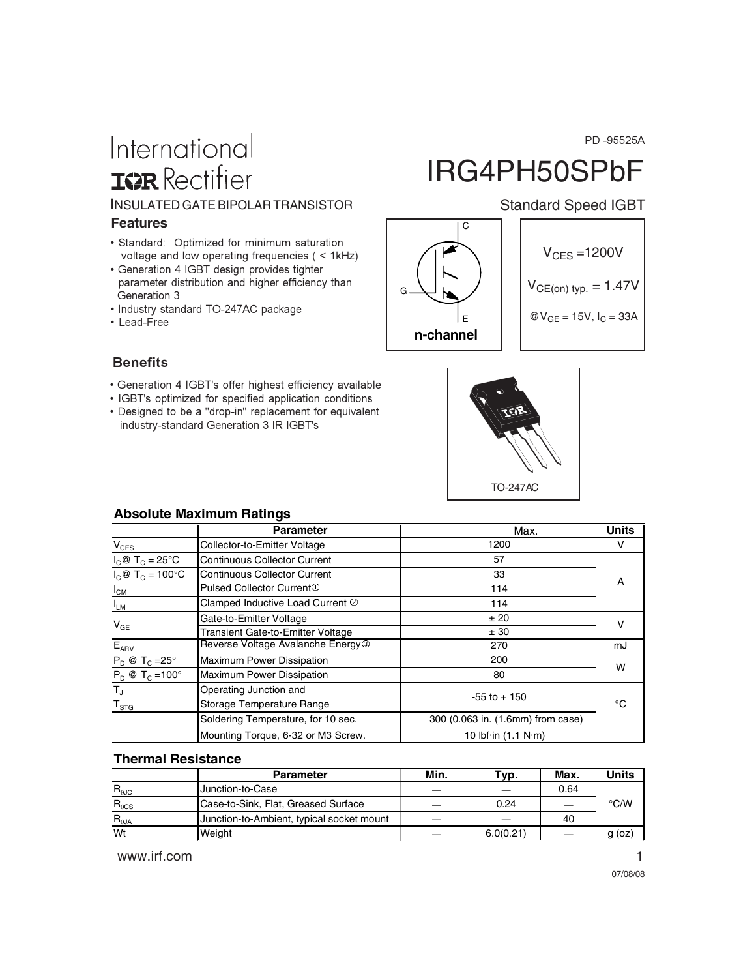PD -95525A

# International **IGR** Rectifier

### INSULATED GATE BIPOLAR TRANSISTOR Standard Speed IGBT

#### **Features**

- Standard: Optimized for minimum saturation voltage and low operating frequencies ( < 1kHz)
- Generation 4 IGBT design provides tighter parameter distribution and higher efficiency than Generation 3
- Industry standard TO-247AC package
- Lead-Free

# IRG4PH50SPbF



## **Benefits**

- Generation 4 IGBT's offer highest efficiency available
- IGBT's optimized for specified application conditions
- Designed to be a "drop-in" replacement for equivalent industry-standard Generation 3 IR IGBT's



#### **Absolute Maximum Ratings**

|                                      | <b>Parameter</b>                              | Max.                                | <b>Units</b> |
|--------------------------------------|-----------------------------------------------|-------------------------------------|--------------|
| $V_{CES}$                            | Collector-to-Emitter Voltage                  | 1200                                | v            |
| $I_C @ T_C = 25^\circ C$             | <b>Continuous Collector Current</b>           | 57                                  |              |
| $I_c$ @ T <sub>C</sub> = 100°C       | <b>Continuous Collector Current</b>           | 33                                  | A            |
| $I_{CM}$                             | Pulsed Collector Current <sup>1</sup>         | 114                                 |              |
| $I_{LM}$                             | Clamped Inductive Load Current 2              | 114                                 |              |
| $V_{GE}$                             | Gate-to-Emitter Voltage                       | ± 20                                | v            |
|                                      | Transient Gate-to-Emitter Voltage             | ± 30                                |              |
| $E_{APV}$                            | Reverse Voltage Avalanche Energy <sup>3</sup> | 270                                 | mJ           |
| $P_D @ T_C = 25^\circ$               | <b>Maximum Power Dissipation</b>              | 200                                 | W            |
| $P_D @ T_C = 100^\circ$              | <b>Maximum Power Dissipation</b>              | 80                                  |              |
| $\overline{\mathsf{T}_{\mathsf{J}}}$ | Operating Junction and                        | $-55$ to $+150$                     | °C           |
| $T_{\text{STG}}$                     | Storage Temperature Range                     |                                     |              |
|                                      | Soldering Temperature, for 10 sec.            | 300 (0.063 in. (1.6mm) from case)   |              |
|                                      | Mounting Torque, 6-32 or M3 Screw.            | 10 lbf $\cdot$ in (1.1 N $\cdot$ m) |              |

#### **Thermal Resistance**

|                        | <b>Parameter</b>                          | Min. | Typ.      | <b>Max</b> | Units  |
|------------------------|-------------------------------------------|------|-----------|------------|--------|
| $R_{\theta \text{JC}}$ | Junction-to-Case                          |      |           | 0.64       |        |
| $R_{\theta CS}$        | Case-to-Sink, Flat, Greased Surface       |      | 0.24      |            | °C/W   |
| $R_{\theta JA}$        | Junction-to-Ambient, typical socket mount |      |           | 40         |        |
| Wt                     | Weight                                    |      | 6.0(0.21) |            | g (oz) |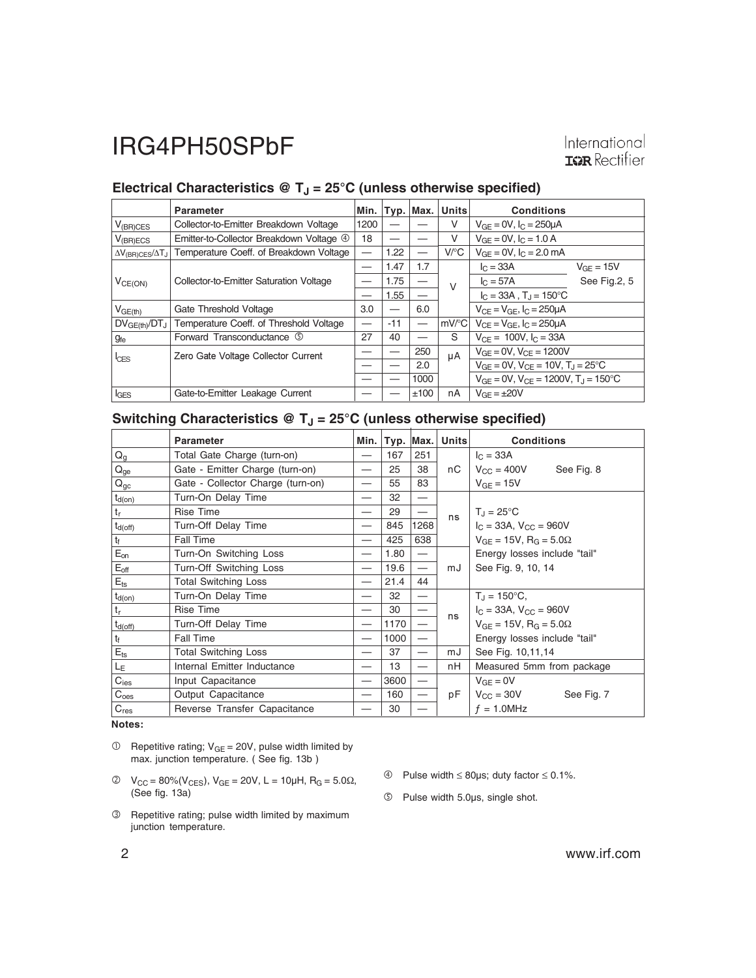# Electrical Characteristics @ T<sub>J</sub> = 25°C (unless otherwise specified)

|                                      | <b>Parameter</b>                         | Min. |       | Typ.   Max. | <b>Units</b>        | <b>Conditions</b>                                          |                |
|--------------------------------------|------------------------------------------|------|-------|-------------|---------------------|------------------------------------------------------------|----------------|
| $V_{(BR)CES}$                        | Collector-to-Emitter Breakdown Voltage   | 1200 |       |             | V                   | $V_{GF} = 0V$ , $I_C = 250 \mu A$                          |                |
| $V_{(BR)ECS}$                        | Emitter-to-Collector Breakdown Voltage 4 | 18   |       |             | V                   | $V_{GF} = 0V$ , $I_C = 1.0 A$                              |                |
| $\Delta V_{\rm (B R)CES}/\Delta T_J$ | Temperature Coeff. of Breakdown Voltage  |      | 1.22  |             | V/C                 | $V_{GF} = 0V$ , $I_C = 2.0$ mA                             |                |
| $V_{CE(ON)}$                         | Collector-to-Emitter Saturation Voltage  |      | 1.47  | 1.7         | $\vee$              | $I_{C} = 33A$                                              | $V_{GF} = 15V$ |
|                                      |                                          |      | 1.75  |             |                     | $I_C = 57A$                                                | See Fig.2, 5   |
|                                      |                                          |      | 1.55  |             |                     | $I_C = 33A$ , $T_J = 150^{\circ}C$                         |                |
| $V_{GE(th)}$                         | Gate Threshold Voltage                   | 3.0  |       | 6.0         |                     | $V_{CF} = V_{GF}$ , $I_C = 250 \mu A$                      |                |
| $DV_{GE(th)}/DT_J$                   | Temperature Coeff. of Threshold Voltage  |      | $-11$ |             | $mV$ <sup>o</sup> C | $V_{CF} = V_{GF}$ , $I_C = 250 \mu A$                      |                |
| <b>g</b> fe                          | Forward Transconductance <b>5</b>        | 27   | 40    |             | S                   | $V_{CF} = 100V$ , $I_C = 33A$                              |                |
| $l$ <sub>CES</sub>                   | Zero Gate Voltage Collector Current      |      |       | 250         | μA                  | $V_{GF} = 0V$ , $V_{CF} = 1200V$                           |                |
|                                      |                                          |      |       | 2.0         |                     | $V_{GE} = 0V$ , $V_{CE} = 10V$ , $T_J = 25^{\circ}C$       |                |
|                                      |                                          |      |       | 1000        |                     | $V_{GF} = 0V$ , $V_{CF} = 1200V$ , $T_{J} = 150^{\circ}$ C |                |
| <b>IGES</b>                          | Gate-to-Emitter Leakage Current          |      |       | ±100        | nA                  | $V_{GF} = \pm 20V$                                         |                |

# Switching Characteristics @ T<sub>J</sub> = 25°C (unless otherwise specified)

|                  | <b>Parameter</b>                  | Min. | Typ.   Max. |                          | <b>Units</b> | <b>Conditions</b>                              |  |
|------------------|-----------------------------------|------|-------------|--------------------------|--------------|------------------------------------------------|--|
| $Q_g$            | Total Gate Charge (turn-on)       |      | 167         | 251                      |              | $I_C = 33A$                                    |  |
| $Q_{ge}$         | Gate - Emitter Charge (turn-on)   |      | 25          | 38                       | nС           | $V_{CC} = 400V$<br>See Fig. 8                  |  |
| $Q_{gc}$         | Gate - Collector Charge (turn-on) |      | 55          | 83                       |              | $V_{GF} = 15V$                                 |  |
| $t_{d(on)}$      | Turn-On Delay Time                |      | 32          | $\overline{\phantom{0}}$ |              |                                                |  |
| $t_{\rm r}$      | <b>Rise Time</b>                  |      | 29          |                          | ns           | $T_J = 25^{\circ}C$                            |  |
| $t_{d(off)}$     | Turn-Off Delay Time               |      | 845         | 1268                     |              | $I_C = 33A$ , $V_{CC} = 960V$                  |  |
| $t_{\rm f}$      | <b>Fall Time</b>                  |      | 425         | 638                      |              | $V_{GF} = 15V$ , R <sub>G</sub> = 5.0 $\Omega$ |  |
| $E_{on}$         | Turn-On Switching Loss            |      | 1.80        | —                        |              | Energy losses include "tail"                   |  |
| $E_{\text{off}}$ | Turn-Off Switching Loss           |      | 19.6        |                          | mJ           | See Fig. 9, 10, 14                             |  |
| $E_{\text{ts}}$  | <b>Total Switching Loss</b>       |      | 21.4        | 44                       |              |                                                |  |
| $t_{d(on)}$      | Turn-On Delay Time                |      | 32          | —                        |              | $T_{J} = 150^{\circ}C,$                        |  |
| $t_r$            | <b>Rise Time</b>                  |      | 30          |                          | ns           | $I_C = 33A$ , $V_{CC} = 960V$                  |  |
| $t_{d(off)}$     | Turn-Off Delay Time               |      | 1170        | $\overline{\phantom{0}}$ |              | $V_{GF} = 15V$ , R <sub>G</sub> = 5.0 $\Omega$ |  |
| $t_{\rm f}$      | Fall Time                         |      | 1000        | —                        |              | Energy losses include "tail"                   |  |
| $E_{\text{ts}}$  | <b>Total Switching Loss</b>       |      | 37          |                          | mJ           | See Fig. 10,11,14                              |  |
| L <sub>Ε</sub>   | Internal Emitter Inductance       |      | 13          |                          | nH           | Measured 5mm from package                      |  |
| $C_{\text{ies}}$ | Input Capacitance                 |      | 3600        | —                        |              | $V_{GE} = 0V$                                  |  |
| C <sub>oes</sub> | Output Capacitance                |      | 160         |                          | рF           | $V_{\rm CC} = 30V$<br>See Fig. 7               |  |
| $C_{res}$        | Reverse Transfer Capacitance      |      | 30          |                          |              | $f = 1.0$ MHz                                  |  |

**Notes:**

- $\circledR$  Repetitive rating; V<sub>GE</sub> = 20V, pulse width limited by max. junction temperature. ( See fig. 13b )
- $V_{CC} = 80\%(V_{CES})$ ,  $V_{GE} = 20V$ ,  $L = 10µH$ ,  $R_G = 5.0Ω$ , (See fig. 13a)
- Repetitive rating; pulse width limited by maximum junction temperature.
- Pulse width ≤ 80µs; duty factor ≤ 0.1%.
- Pulse width 5.0µs, single shot.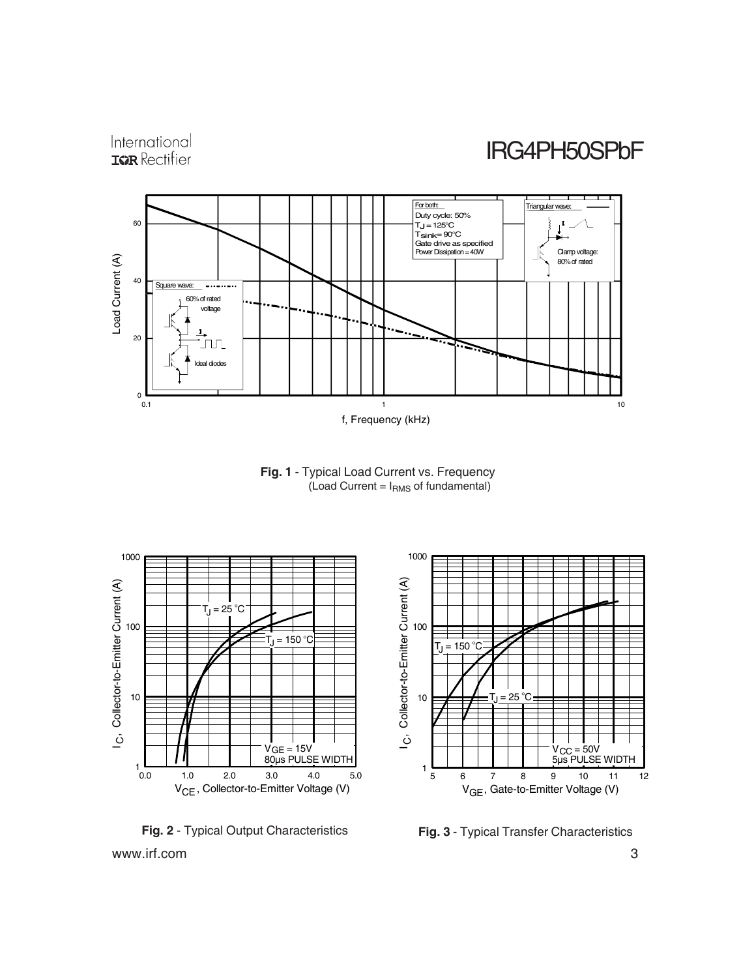



**Fig. 1** - Typical Load Current vs. Frequency (Load Current =  $I<sub>RMS</sub>$  of fundamental)



www.irf.com 3 **Fig. 2** - Typical Output Characteristics **Fig. 3** - Typical Transfer Characteristics

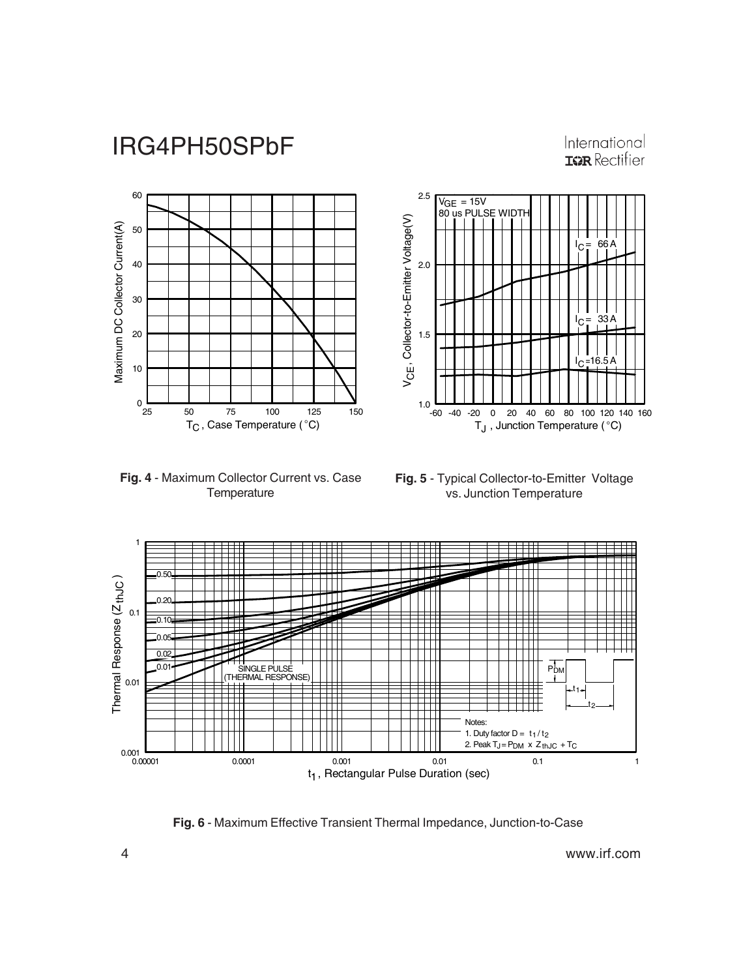## International **IGR** Rectifier

I = A 66 <sup>C</sup>

 $\begin{array}{c} | & | & | \\ | & | & 33 \end{array}$ 

 $16.5A$ 



**Fig. 4** - Maximum Collector Current vs. Case **Temperature** 



-60 -40 -20 0 20 40 60 80 100 120 140 160

 $\mathsf{T}_{\mathsf{J}}$  , Junction Temperature (°C)



1.0

1.5

V , Collector-to-Emitter Voltage(V) V<sub>CE</sub>, Collector-to-Emitter Voltage(V)

2.0

2.5

 $V<sub>GE</sub> = 15V$ VGE = 15V<br>80 us PULSE WIDTH

**Fig. 6** - Maximum Effective Transient Thermal Impedance, Junction-to-Case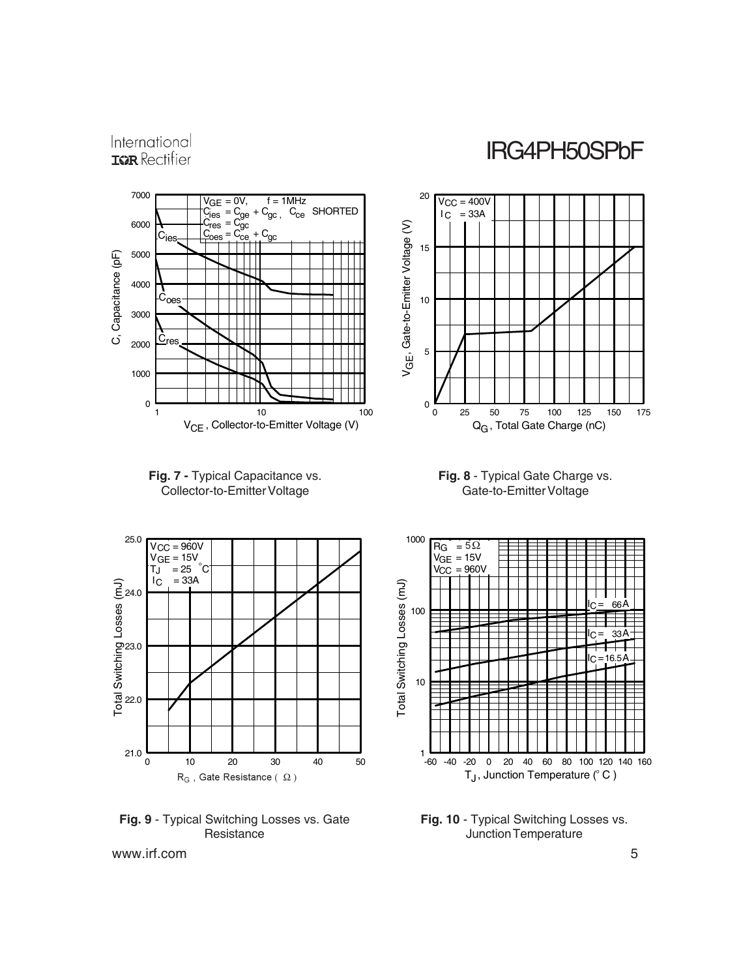International **IGR** Rectifier

IRG4PH50SPbF











**Fig. 9** - Typical Switching Losses vs. Gate **Resistance** 



**Fig. 10** - Typical Switching Losses vs. Junction Temperature

www.irf.com 5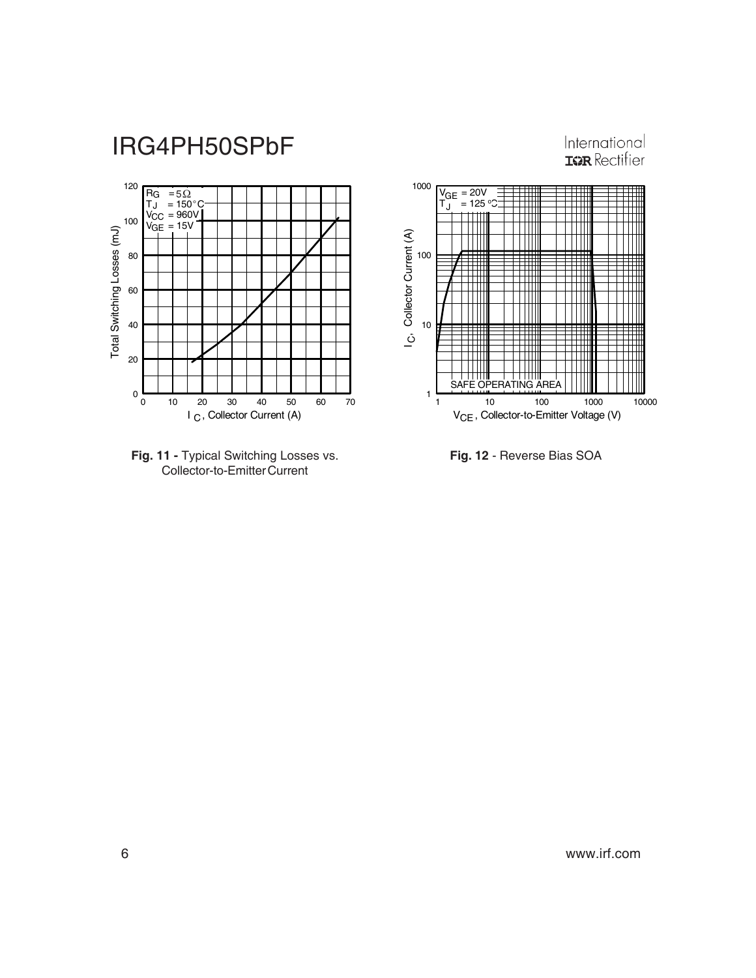







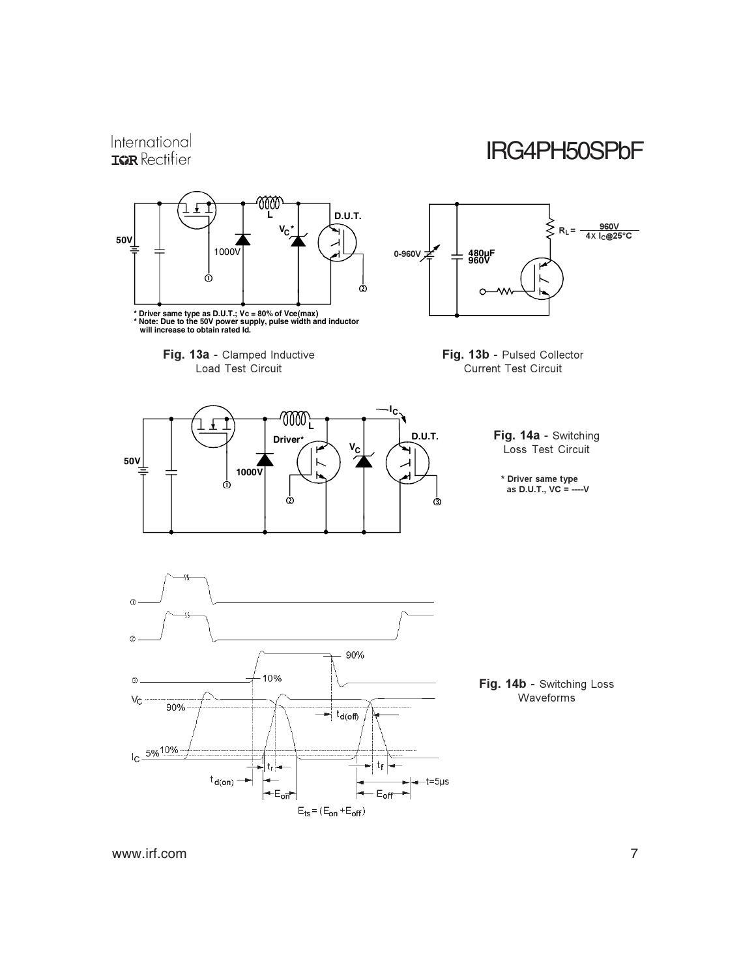#### International IRG4PH50SPbF **ISPR** Rectifier ี 1000<br>|<br>| £ I **D.U.T.** ⋚ <u>960V<br>4X I<sub>C</sub>@25°C</u> **V \* <sup>C</sup>**  $R_L =$ **50V** 1000V 0-960V **480µF 960V** ó Ò  $\Omega$ **\* Driver same type as D.U.T.; Vc = 80% of Vce(max) \* Note: Due to the 50V power supply, pulse width and inductor will increase to obtain rated Id.** Fig. 13a - Clamped Inductive Fig. 13b - Pulsed Collector Load Test Circuit Current Test Circuit **IC** 7000 **L** Fig. 14a - Switching **D.U.T. Driver\***  $V_C$ Loss Test Circuit **50V 1000V** \* Driver same type Ó as  $D.U.T..$   $VC =$  ---- $V$  $\dot{\textcirc}$ **⊘ | | |** | ඉ  $\odot$  $\circledS$ 90% 10%  $\circledS$ Fig. 14b - Switching Loss Waveforms  $V_{\rm C}$ 90%  $t_{d(\text{off})}$  $I_{\rm C} \frac{5\%10\%}{2}$  $t_{\mathsf{f}}$ tr  $t_{d(on)}$  - $-t=5\mu s$  $E_{\rm off}$  $E_{off}$ ÷

 $E_{\text{ts}} = (E_{\text{on}} + E_{\text{off}})$